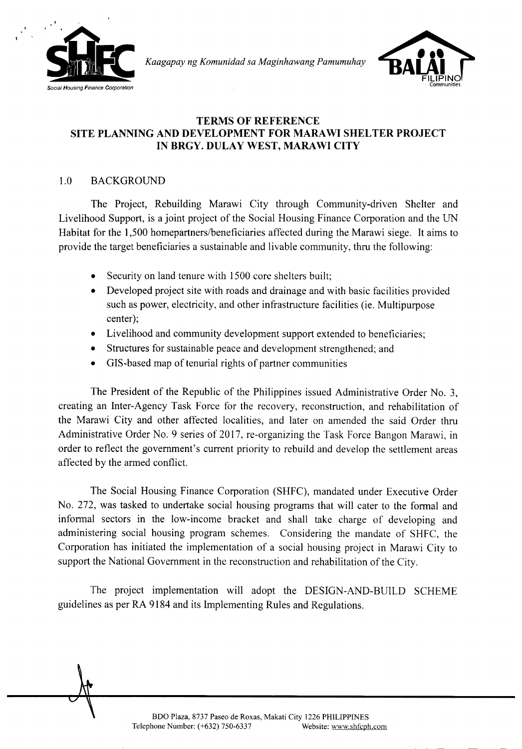

*Kaagapay ng Komunidad sa Maginhawang Pamumuhay*



### **TERMS OF REFERENCE SITE PLANNING AND DEVELOPMENT FOR MARA WI SHELTER PROJECT IN BRGY. DULAY WEST, MARAWI CITY**

# 1.0 BACKGROUND

The Project, Rebuilding Marawi City through Community-driven Shelter and Livelihood Support, is a joint project of the Social Housing Finance Corporation and the UN Habitat for the 1,500 homepartners/beneficiaries affected during the Marawi siege. It aims to provide the target beneficiaries a sustainable and livable community, thru the following:

- Security on land tenure with 1500 core shelters built;
- Developed project site with roads and drainage and with basic facilities provided such as power, electricity, and other infrastructure facilities (ie. Multipurpose center);
- Livelihood and community development support extended to beneficiaries;
- Structures for sustainable peace and development strengthened; and
- GIS-based map of tenurial rights of partner communities

The President of the Republic of the Philippines issued Administrative Order No.3, creating an Inter-Agency Task Force for the recovery, reconstruction, and rehabilitation of the Marawi City and other affected localities, and later on amended the said Order thru Administrative Order No.9 series of 2017, re-organizing the Task Force Bangon Marawi, in order to reflect the government's current priority to rebuild and develop the settlement areas affected by the armed conflict.

The Social Housing Finance Corporation (SHFC), mandated under Executive Order No. 272, was tasked to undertake social housing programs that will cater to the formal and informal sectors in the low-income bracket and shall take charge of developing and administering social housing program schemes. Considering the mandate of SHFC, the Corporation has initiated the implementation of a social housing project in Marawi City to support the National Government in the reconstruction and rehabilitation of the City.

The project implementation will adopt the DESIGN-AND-BUILD SCHEME guidelines as per RA 9184 and its Implementing Rules and Regulations.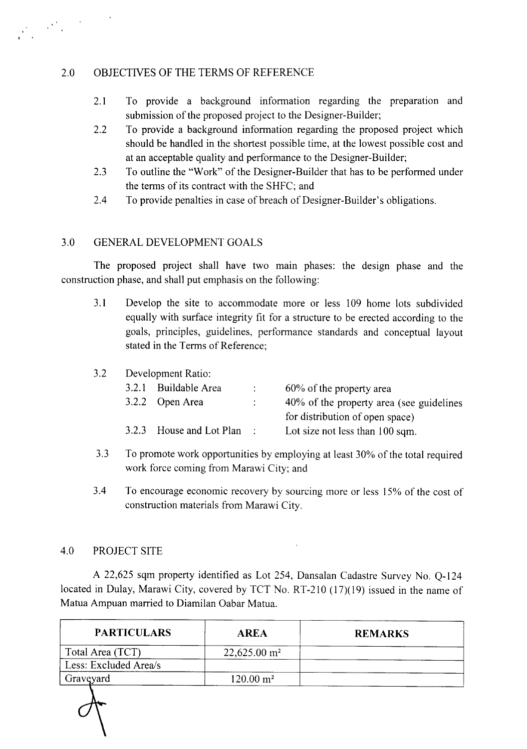# 2.0 OBJECTIVES OF THE TERMS OF REFERENCE

- 2.1 To provide a background information regarding the preparation and submission of the proposed project to the Designer-Builder;
- 2.2 To provide a background information regarding the proposed project which should be handled in the shortest possible time, at the lowest possible cost and at an acceptable quality and performance to the Designer-Builder;
- 2.3 To outline the "Work" of the Designer-Builder that has to be performed under the terms of its contract with the SHFC; and
- 2.4 To provide penalties in case of breach of Designer-Builder's obligations.

# 3.0 GENERAL DEVELOPMENT GOALS

The proposed project shall have two main phases: the design phase and the construction phase, and shall put emphasis on the following:

- 3.1 Develop the site to accommodate more or less 109 home lots subdivided equally with surface integrity fit for a structure to be erected according to the goals, principles, guidelines, performance standards and conceptual layout stated in the Terms of Reference;
- 3.2 Development Ratio:

| 3.2.1 Buildable Area       | $\mathcal{L}$ | 60% of the property area                 |
|----------------------------|---------------|------------------------------------------|
| 3.2.2 Open Area            |               | 40% of the property area (see guidelines |
|                            |               | for distribution of open space)          |
| 3.2.3 House and Lot Plan : |               | Lot size not less than 100 sqm.          |

- 3.3 To promote work opportunities by employing at least 30% of the total required work force coming from Marawi City; and
- 3.4 To encourage economic recovery by sourcing more or less 15% of the cost of construction materials from Marawi City.

### 4.0 PROJECT SITE

A 22,625 sqm property identified as Lot 254, Dansalan Cadastre Survey No. Q-124 located in Dulay, Marawi City, covered by TCT No. RT-210 (17)(19) issued in the name of Matua Ampuan married to Diamilan Oabar Matua.

| <b>PARTICULARS</b>    | <b>AREA</b>                | <b>REMARKS</b> |
|-----------------------|----------------------------|----------------|
| Total Area (TCT)      | $22,625.00$ m <sup>2</sup> |                |
| Less: Excluded Area/s |                            |                |
| Graveyard             | $120.00 \text{ m}^2$       |                |
|                       |                            |                |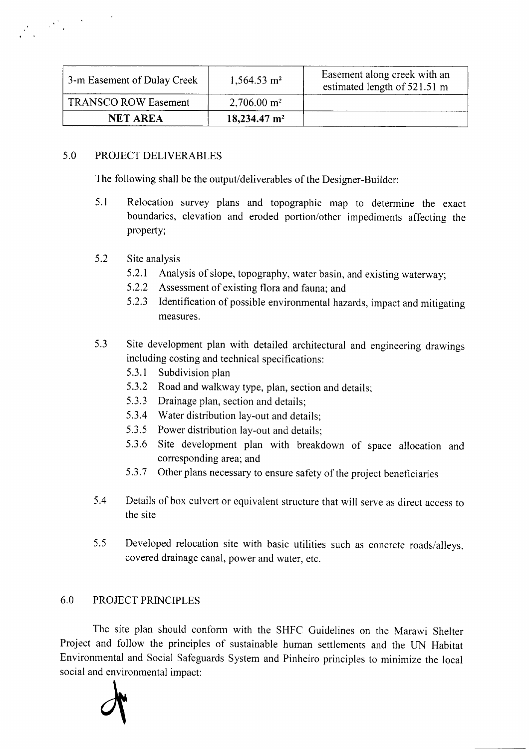| 3-m Easement of Dulay Creek | $1,564.53 \text{ m}^2$     | Easement along creek with an<br>estimated length of 521.51 m |
|-----------------------------|----------------------------|--------------------------------------------------------------|
| <b>TRANSCO ROW Easement</b> | $2,706.00 \text{ m}^2$     |                                                              |
| <b>NET AREA</b>             | $18,234.47$ m <sup>2</sup> |                                                              |

# 5.0 PROJECT DELIVERABLES

The following shall be the output/deliverables of the Designer-Builder:

5.1 Relocation survey plans and topographic map to determine the exact boundaries, elevation and eroded portion/other impediments affecting the property;

### 5.2 Site analysis

- 5.2.1 Analysis of slope, topography, water basin, and existing waterway;
- 5.2.2 Assessment of existing flora and fauna; and
- 5.2.3 Identification of possible environmental hazards, impact and mitigating measures.
- 5.3 Site development plan with detailed architectural and engineering drawings including costing and technical specifications:
	- 5.3.1 Subdivision plan
	- 5.3.2 Road and walkway type, plan, section and details;
	- 5.3.3 Drainage plan, section and details;
	- 5.3.4 Water distribution lay-out and details;
	- 5.3.5 Power distribution lay-out and details;
	- 5.3.6 Site development plan with breakdown of space allocation and corresponding area; and
	- 5.3.7 Other plans necessary to ensure safety of the project beneficiaries
- 5.4 Details of box culvert or equivalent structure that will serve as direct access to the site
- 5.5 Developed relocation site with basic utilities such as concrete roads/alleys, covered drainage canal, power and water, etc.

# 6.0 PROJECT PRINCIPLES

The site plan should conform with the SHFC Guidelines on the Marawi Shelter Project and follow the principles of sustainable human settlements and the UN Habitat Environmental and Social Safeguards System and Pinheiro principles to minimize the local social and environmental impact:

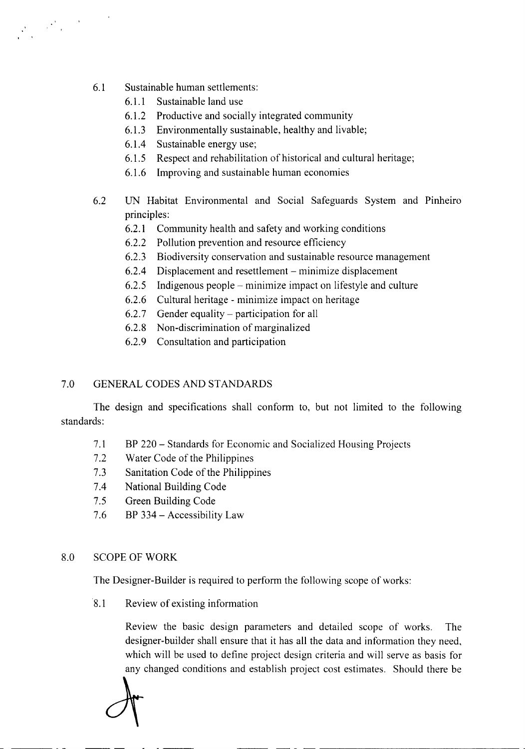6.1 Sustainable human settlements:

- 6.1.1 Sustainable land use
- 6.1.2 Productive and socially integrated community
- 6.1.3 Environmentally sustainable, healthy and livable;
- 6.1.4 Sustainable energy use;
- 6.1.5 Respect and rehabilitation of historical and cultural heritage;
- 6.1.6 Improving and sustainable human economies
- 6.2 UN Habitat Environmental and Social Safeguards System and Pinheiro principles:
	- 6.2.1 Community health and safety and working conditions
	- 6.2.2 Pollution prevention and resource efficiency
	- 6.2.3 Biodiversity conservation and sustainable resource management
	- 6.2.4 Displacement and resettlement minimize displacement
	- 6.2.5 Indigenous people minimize impact on lifestyle and culture
	- 6.2.6 Cultural heritage minimize impact on heritage
	- $6.2.7$  Gender equality participation for all
	- 6.2.8 Non-discrimination of marginalized
	- 6.2.9 Consultation and participation

# 7.0 GENERAL CODES AND STANDARDS

The design and specifications shall conform to, but not limited to the following standards:

- 7.1 BP 220 Standards for Economic and Socialized Housing Projects
- 7.2 Water Code of the Philippines
- 7.3 Sanitation Code of the Philippines
- 7.4 National Building Code
- 7.5 Green Building Code
- 7.6 BP 334 Accessibility Law

### 8.0 SCOPE OF WORK

The Designer-Builder is required to perform the following scope of works:

8.1 Review of existing information

Review the basic design parameters and detailed scope of works. The designer-builder shall ensure that it has all the data and information they need, which will be used to define project design criteria and will serve as basis for any changed conditions and establish project cost estimates. Should there be

--- - -- -----------------------------------

dt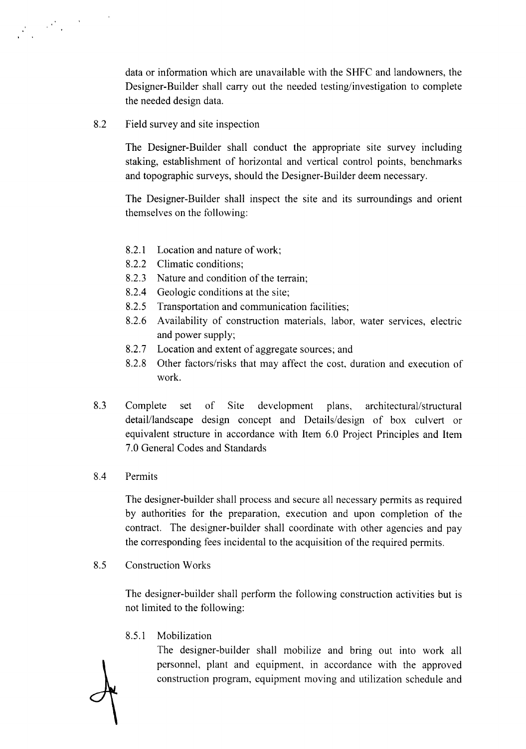data or information which are unavailable with the SHFC and landowners, the Designer-Builder shall carry out the needed testing/investigation to complete the needed design data.

8.2 Field survey and site inspection

The Designer-Builder shall conduct the appropriate site survey including staking, establishment of horizontal and vertical control points, benchmarks and topographic surveys, should the Designer-Builder deem necessary.

The Designer-Builder shall inspect the site and its surroundings and orient themselves on the following:

- 8.2.1 Location and nature of work;
- 8.2.2 Climatic conditions;
- 8.2.3 Nature and condition of the terrain;
- 8.2.4 Geologic conditions at the site;
- 8.2.5 Transportation and communication facilities;
- 8.2.6 Availability of construction materials, labor, water services, electric and power supply;
- 8.2.7 Location and extent of aggregate sources; and
- 8.2.8 Other factors/risks that may affect the cost, duration and execution of work.
- 8.3 Complete set of Site development plans, architectural/structural detail/landscape design concept and Details/design of box culvert or equivalent structure in accordance with Item 6.0 Project Principles and Item 7.0 General Codes and Standards
- 8.4 Permits

The designer-builder shall process and secure all necessary permits as required by authorities for the preparation, execution and upon completion of the contract. The designer-builder shall coordinate with other agencies and pay the corresponding fees incidental to the acquisition of the required permits.

8.5 Construction Works

The designer-builder shall perform the following construction activities but is not limited to the following:

8.5.1 Mobilization

The designer-builder shall mobilize and bring out into work all personnel, plant and equipment, in accordance with the approved construction program, equipment moving and utilization schedule and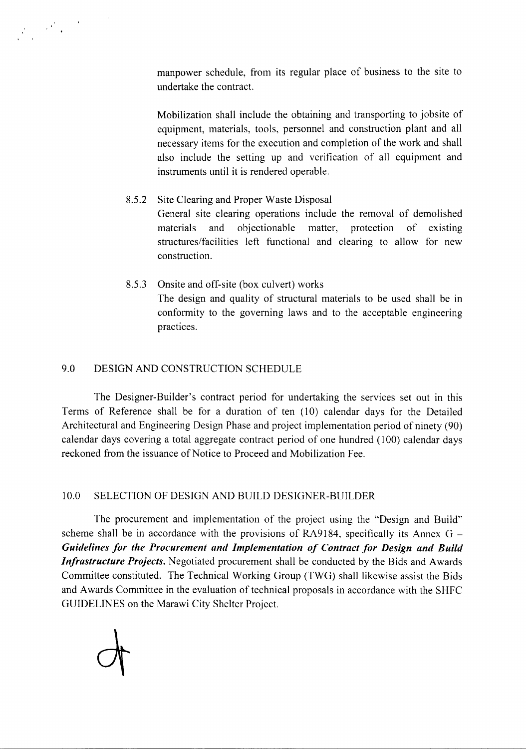

manpower schedule, from its regular place of business to the site to undertake the contract.

Mobilization shall include the obtaining and transporting to jobsite of equipment, materials, tools, personnel and construction plant and all necessary items for the execution and completion of the work and shall also include the setting up and verification of all equipment and instruments until it is rendered operable.

# 8.5.2 Site Clearing and Proper Waste Disposal General site clearing operations include the removal of demolished materials and objectionable matter, protection of existing structures/facilities left functional and clearing to allow for new construction.

8.5.3 Onsite and off-site (box culvert) works The design and quality of structural materials to be used shall be in conformity to the governing laws and to the acceptable engineering practices.

### 9.0 DESIGN AND CONSTRUCTION SCHEDULE

The Designer-Builder's contract period for undertaking the services set out in this Terms of Reference shall be for a duration of ten (10) calendar days for the Detailed Architectural and Engineering Design Phase and project implementation period of ninety (90) calendar days covering a total aggregate contract period of one hundred (100) calendar days reckoned from the issuance of Notice to Proceed and Mobilization Fee.

# 10.0 SELECTION OF DESIGN AND BUILD DESIGNER-BUILDER

The procurement and implementation of the project using the "Design and Build" scheme shall be in accordance with the provisions of RA9184, specifically its Annex  $G -$ *Guidelines for the Procurement and Implementation of Contract for Design and Build Infrastructure Projects.* Negotiated procurement shall be conducted by the Bids and Awards Committee constituted. The Technical Working Group (TWG) shall likewise assist the Bids and Awards Committee in the evaluation of technical proposals in accordance with the SHFC GUIDELINES on the Marawi City Shelter Project.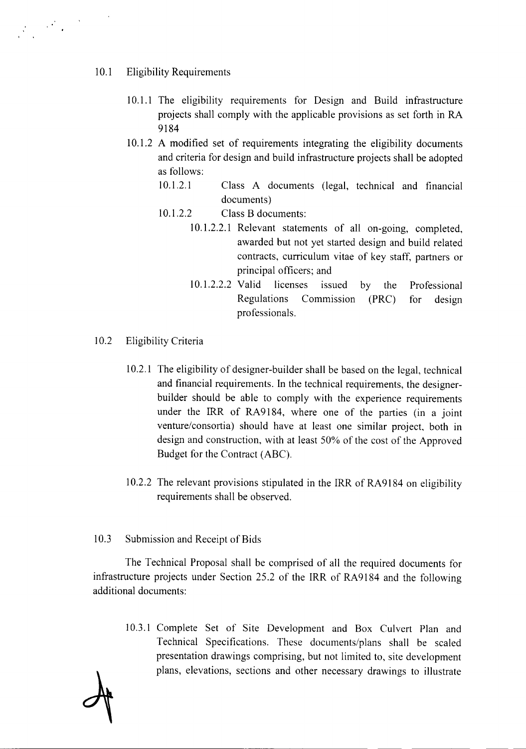### 10.1 Eligibility Requirements

- 10.1.1 The eligibility requirements for Design and Build infrastructure projects shall comply with the applicable provisions as set forth in RA 9184
- 10.1.2 A modified set of requirements integrating the eligibility documents and criteria for design and build infrastructure projects shall be adopted as follows:
	- 10.1.2.1 Class A documents (legal, technical and financial documents)
	- 10.1.2.2 Class B documents:
		- 10.1.2.2.1 Relevant statements of all on-going, completed, awarded but not yet started design and build related contracts, curriculum vitae of key staff, partners or principal officers; and
		- 10.1.2.2.2 Valid licenses issued by the Regulations Commission (PRC) Professional for design professionals.
- 10.2 Eligibility Criteria
	- 10.2.1 The eligibility of designer-builder shall be based on the legal, technical and financial requirements. In the technical requirements, the designerbuilder should be able to comply with the experience requirements under the IRR of RA9184, where one of the parties (in a joint venture/consortia) should have at least one similar project, both in design and construction, with at least 50% of the cost of the Approved Budget for the Contract (ABC).
	- 10.2.2 The relevant provisions stipulated in the IRR of RA9184 on eligibility requirements shall be observed.
- 10.3 Submission and Receipt of Bids

The Technical Proposal shall be comprised of all the required documents for infrastructure projects under Section 25.2 of the IRR of RA9184 and the following additional documents:

10.3.1 Complete Set of Site Development and Box Culvert Plan and Technical Specifications. These documents/plans shall be scaled presentation drawings comprising, but not limited to, site development plans, elevations, sections and other necessary drawings to illustrate

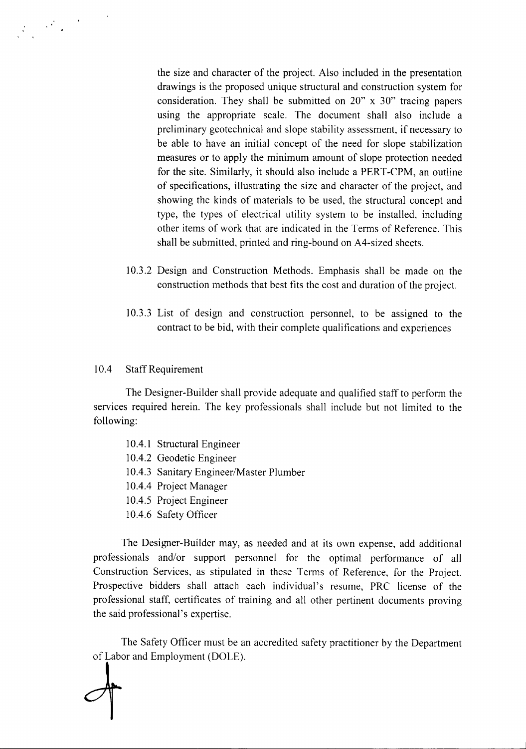

the size and character of the project. Also included in the presentation drawings is the proposed unique structural and construction system for consideration. They shall be submitted on 20" x 30" tracing papers using the appropriate scale. The document shall also include a preliminary geotechnical and slope stability assessment, if necessary to be able to have an initial concept of the need for slope stabilization measures or to apply the minimum amount of slope protection needed for the site. Similarly, it should also include a PERT -CPM, an outline of specifications, illustrating the size and character of the project, and showing the kinds of materials to be used, the structural concept and type, the types of electrical utility system to be installed, including other items of work that are indicated in the Terms of Reference. This shall be submitted, printed and ring-bound on A4-sized sheets.

- 10.3.2 Design and Construction Methods. Emphasis shall be made on the construction methods that best fits the cost and duration of the project.
- 10.3.3 List of design and construction personnel, to be assigned to the contract to be bid, with their complete qualifications and experiences

#### 10.4 Staff Requirement

The Designer-Builder shall provide adequate and qualified staff to perform the services required herein. The key professionals shall include but not limited to the following:

- 10.4.1 Structural Engineer
- 10.4.2 Geodetic Engineer
- 10.4.3 Sanitary Engineer/Master Plumber
- 10.4.4 Project Manager
- 10.4.5 Project Engineer
- 10.4.6 Safety Officer

The Designer-Builder may, as needed and at its own expense, add additional professionals and/or support personnel for the optimal performance of all Construction Services, as stipulated in these Terms of Reference, for the Project. Prospective bidders shall attach each individual's resume, PRC license of the professional staff, certificates of training and all other pertinent documents proving the said professional's expertise.

The Safety Officer must be an accredited safety practitioner by the Department of Labor and Employment (DOLE).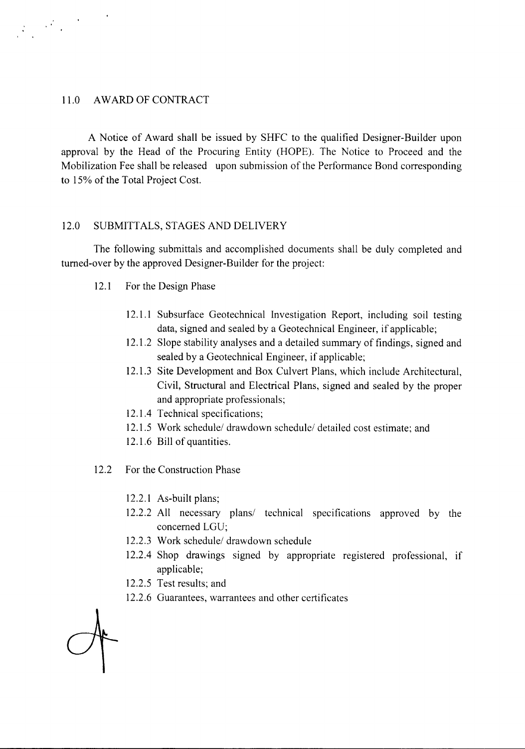#### 11.0 AWARD OF CONTRACT

 $\label{eq:2} \frac{1}{2}\int_{\mathbb{R}^3}\left|\frac{d^2\mathcal{L}}{d\mathcal{L}}\right|^2\,d\mathcal{L}=\frac{1}{2}\int_{\mathbb{R}^3}\left|\frac{d\mathcal{L}}{d\mathcal{L}}\right|^2\,d\mathcal{L}.$ 

A Notice of Award shall be issued by SHFC to the qualified Designer-Builder upon approval by the Head of the Procuring Entity (HOPE). The Notice to Proceed and the Mobilization Fee shall be released upon submission of the Performance Bond corresponding to 15% of the Total Project Cost.

#### 12.0 SUBMITTALS, STAGES AND DELIVERY

The following submittals and accomplished documents shall be duly completed and turned-over by the approved Designer-Builder for the project:

- 12.1 For the Design Phase
	- 12.1.1 Subsurface Geotechnical Investigation Report, including soil testing data, signed and sealed by a Geotechnical Engineer, if applicable;
	- 12.1.2 Slope stability analyses and a detailed summary of findings, signed and sealed by a Geotechnical Engineer, if applicable;
	- 12.1.3 Site Development and Box Culvert Plans, which include Architectural, Civil, Structural and Electrical Plans, signed and sealed by the proper and appropriate professionals;
	- 12.1.4 Technical specifications;
	- 12.1.5 Work schedule/ drawdown schedule/ detailed cost estimate; and
	- 12.1.6 Bill of quantities.
- 12.2 For the Construction Phase
	- 12.2.1 As-built plans;
	- 12.2.2 All necessary plans/ technical specifications approved by the concerned LGU;
	- 12.2.3 Work schedule/ drawdown schedule
	- 12.2.4 Shop drawings signed by appropriate registered professional, if applicable;
	- 12.2.5 Test results; and
	- 12.2.6 Guarantees, warrantees and other certificates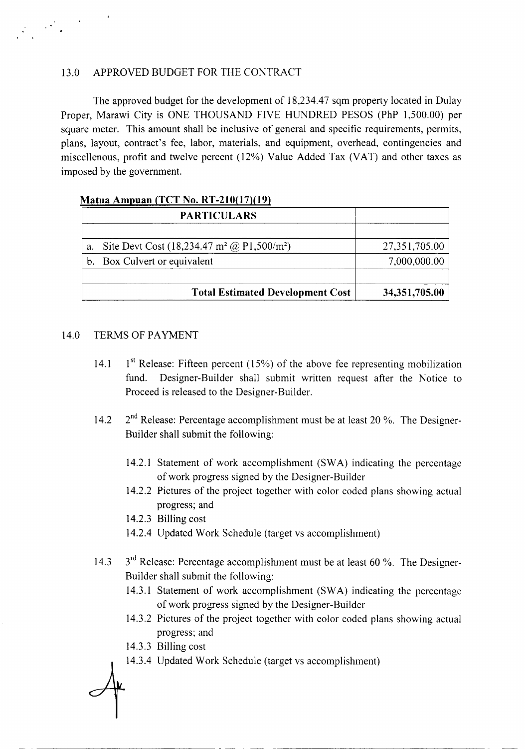### 13.0 APPROVED BUDGET FOR THE CONTRACT

The approved budget for the development of 18,234.47 sqm property located in Dulay Proper, Marawi City is ONE THOUSAND FIVE HUNDRED PESOS (PhP 1,500.00) per square meter. This amount shall be inclusive of general and specific requirements, permits, plans, layout, contract's fee, labor, materials, and equipment, overhead, contingencies and miscellenous, profit and twelve percent (12%) Value Added Tax (VAT) and other taxes as imposed by the government.

### **Matua** Amnuan **(TCT No**.**RT-210(17)(19)**

|    | <b>PARTICULARS</b>                                                     |                 |
|----|------------------------------------------------------------------------|-----------------|
|    |                                                                        |                 |
| a. | Site Devt Cost $(18,234.47 \text{ m}^2 \text{ @ } P1,500 \text{/m}^2)$ | 27,351,705.00   |
|    | b. Box Culvert or equivalent                                           | 7,000,000.00    |
|    |                                                                        |                 |
|    | <b>Total Estimated Development Cost</b>                                | 34, 351, 705.00 |

#### 14.0 TERMS OF PAYMENT

- 14.1  $1^{st}$  Release: Fifteen percent (15%) of the above fee representing mobilization fund. Designer-Builder shall submit written request after the Notice to Proceed is released to the Designer-Builder.
- 14.2 2<sup>nd</sup> Release: Percentage accomplishment must be at least 20 %. The Designer-Builder shall submit the following:
	- 14.2.1 Statement of work accomplishment (SW A) indicating the percentage of work progress signed by the Designer-Builder
	- 14.2.2 Pictures of the project together with color coded plans showing actual progress; and
	- 14.2.3 Billing cost
	- 14.2.4 Updated Work Schedule (target vs accomplishment)
- 14.3  $3<sup>rd</sup>$  Release: Percentage accomplishment must be at least 60 %. The Designer-Builder shall submit the following:
	- 14.3.1 Statement of work accomplishment (SW A) indicating the percentage of work progress signed by the Designer-Builder
	- 14.3.2 Pictures of the project together with color coded plans showing actual progress; and
	- 14.3.3 Billing cost

------------------------------------------------------------- .--

14.3.4 Updated Work Schedule (target vs accomplishment)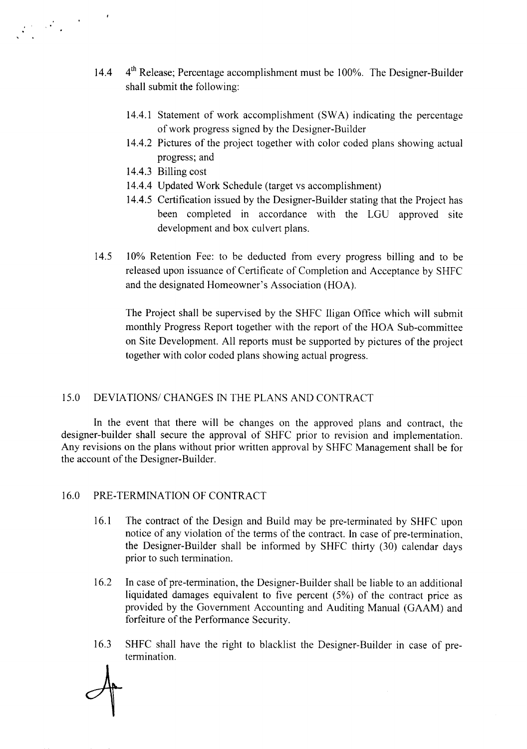- 14.4  $4<sup>th</sup>$  Release; Percentage accomplishment must be 100%. The Designer-Builder shall submit the following:
	- 14.4.1 Statement of work accomplishment (SWA) indicating the percentage of work progress signed by the Designer-Builder
	- 14.4.2 Pictures of the project together with color coded plans showing actual progress; and
	- 14.4.3 Billing cost

· .

- 14.4.4 Updated Work Schedule (target vs accomplishment)
- 14.4.5 Certification issued by the Designer-Builder stating that the Project has been completed in accordance with the LGU approved site development and box culvert plans.
- 14.5 10% Retention Fee: to be deducted from every progress billing and to be released upon issuance of Certificate of Completion and Acceptance by SHFC and the designated Homeowner's Association (HOA).

The Project shall be supervised by the SHFC Iligan Office which will submit monthly Progress Report together with the report of the HOA Sub-committee on Site Development. All reports must be supported by pictures of the project together with color coded plans showing actual progress.

# 15.0 DEVIATIONS/ CHANGES IN THE PLANS AND CONTRACT

In the event that there will be changes on the approved plans and contract, the designer-builder shall secure the approval of SHFC prior to revision and implementation. Any revisions on the plans without prior written approval by SHFC Management shall be for the account of the Designer-Builder.

### 16.0 PRE-TERMINATION OF CONTRACT

- 16.1 The contract of the Design and Build may be pre-terminated by SHFC upon notice of any violation of the terms of the contract. In case of pre-termination, the Designer-Builder shall be informed by SHFC thirty (30) calendar days prior to such termination.
- 16.2 In case of pre-termination, the Designer-Builder shall be liable to an additional liquidated damages equivalent to five percent (5%) of the contract price as provided by the Government Accounting and Auditing Manual (GAAM) and forfeiture of the Performance Security.
- 16.3 SHFC shall have the right to blacklist the Designer-Builder in case of pretermination.